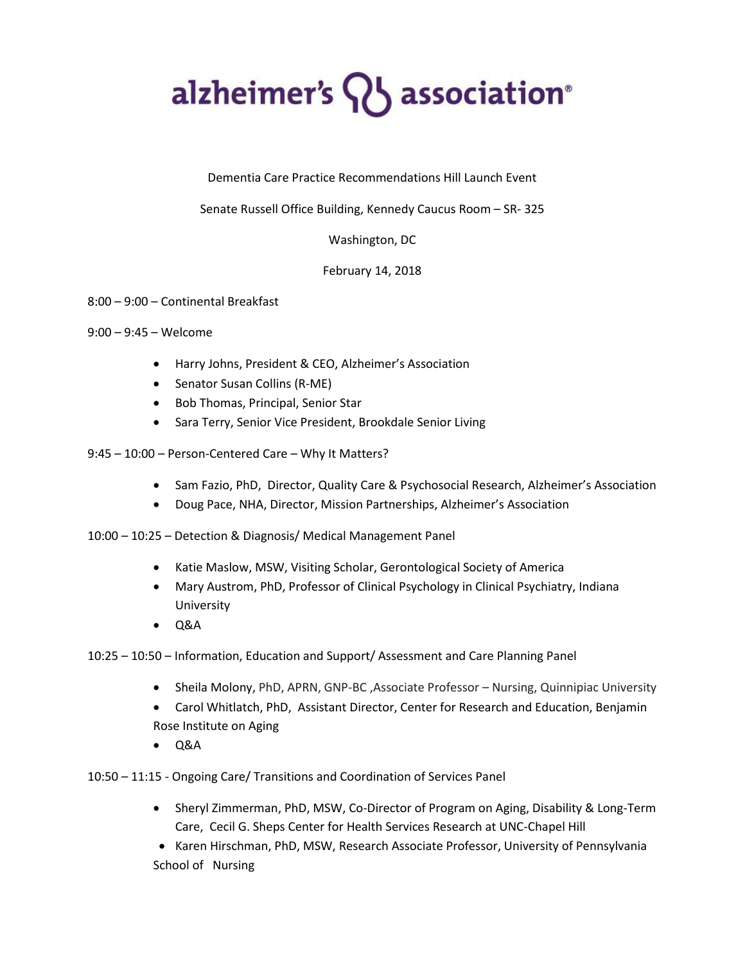## alzheimer's  $\{ \}$  association<sup>®</sup>

Dementia Care Practice Recommendations Hill Launch Event

Senate Russell Office Building, Kennedy Caucus Room – SR- 325

## Washington, DC

## February 14, 2018

## 8:00 – 9:00 – Continental Breakfast

- 9:00 9:45 Welcome
	- Harry Johns, President & CEO, Alzheimer's Association
	- Senator Susan Collins (R-ME)
	- Bob Thomas, Principal, Senior Star
	- Sara Terry, Senior Vice President, Brookdale Senior Living
- 9:45 10:00 Person-Centered Care Why It Matters?
	- Sam Fazio, PhD, Director, Quality Care & Psychosocial Research, Alzheimer's Association
	- Doug Pace, NHA, Director, Mission Partnerships, Alzheimer's Association
- 10:00 10:25 Detection & Diagnosis/ Medical Management Panel
	- Katie Maslow, MSW, Visiting Scholar, Gerontological Society of America
	- Mary Austrom, PhD, Professor of Clinical Psychology in Clinical Psychiatry, Indiana University
	- $\bullet$  Q&A
- 10:25 10:50 Information, Education and Support/ Assessment and Care Planning Panel
	- Sheila Molony, PhD, APRN, GNP-BC ,Associate Professor Nursing, Quinnipiac University
	- Carol Whitlatch, PhD, Assistant Director, Center for Research and Education, Benjamin Rose Institute on Aging
	- $O&AA$
- 10:50 11:15 Ongoing Care/ Transitions and Coordination of Services Panel
	- Sheryl Zimmerman, PhD, MSW, Co-Director of Program on Aging, Disability & Long-Term Care, Cecil G. Sheps Center for Health Services Research at UNC-Chapel Hill
	- Karen Hirschman, PhD, MSW, Research Associate Professor, University of Pennsylvania School of Nursing